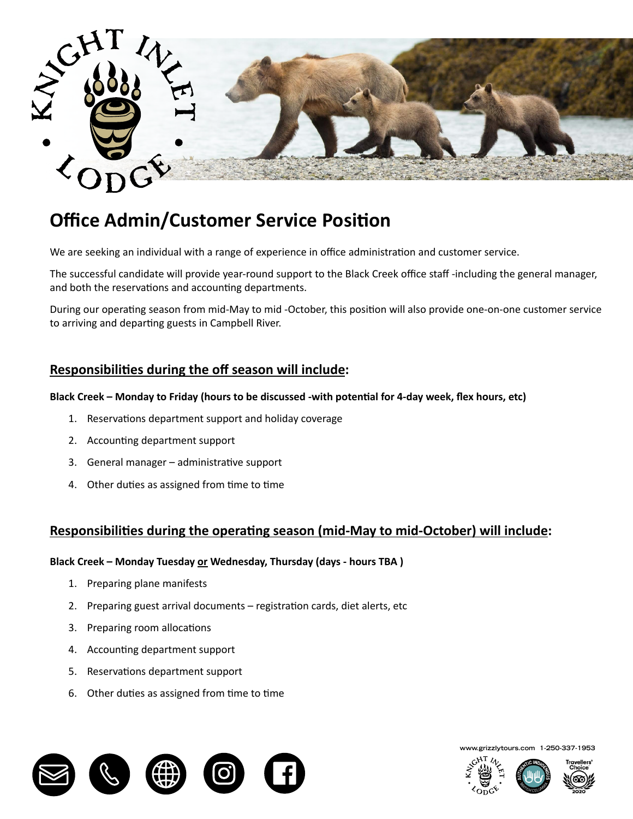

# **Office Admin/Customer Service Position**

We are seeking an individual with a range of experience in office administration and customer service.

The successful candidate will provide year-round support to the Black Creek office staff -including the general manager, and both the reservations and accounting departments.

During our operating season from mid-May to mid -October, this position will also provide one-on-one customer service to arriving and departing guests in Campbell River.

## **Responsibilities during the off season will include**:

#### the southern portion of the Great Bear Rainforest. Since 1996 Knight Inlet Lodge has facilitated wildlife viewing Black Creek – Monday to Friday (hours to be discussed -with potential for 4-day week, flex hours, etc)

- 1. Reservations department support and holiday coverage **the 2022 season which runs from mid-May through to mid-**
- breakfast buffet of hot and continental items as well as  $\alpha$  as providing an egg station, cooking eggs  $\alpha$ 2. Accounting department support
- 3. General manager administrative support
- 4. Other duties as assigned from time to time and meals. Candidate must be available to the available to time which the entire season with the entire season with intervals with the entire season with the entire season.

### **Responsibilities during the operating season (mid-May to mid-October) will include:**

#### Black Creek – Monday Tuesday <u>or</u> Wednesday, Thursday (days - hours TBA )  $\mathbf{b}$  be interacting the surfact and ensuring the surface in a helpful and courted in a helpful and courted in a helpful and courted in a helpful and courted in a helpful and courted in a helpful and courted in a helpf

- 1. Preparing plane manifests
- 2. Preparing guest arrival documents registration cards, diet alerts, etc
- 3. Preparing room allocations
- 4. Accounting department support
- 5. Reservations department support
- accept other duties as assigned. 6. Other duties as assigned from time to time



**www.grizzlytours.com 1-250-337-1953**